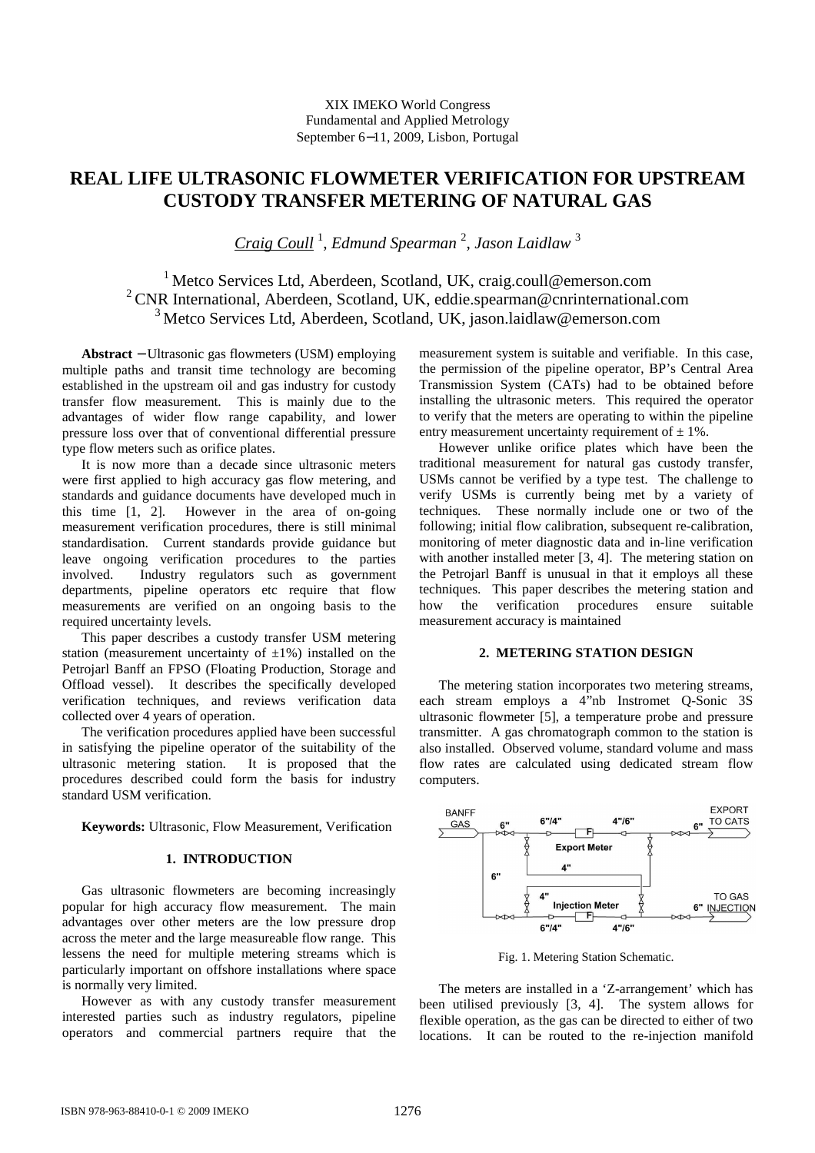# **REAL LIFE ULTRASONIC FLOWMETER VERIFICATION FOR UPSTREAM CUSTODY TRANSFER METERING OF NATURAL GAS**

*Craig Coull* <sup>1</sup> , *Edmund Spearman* <sup>2</sup> , *Jason Laidlaw* <sup>3</sup>

<sup>1</sup>Metco Services Ltd, Aberdeen, Scotland, UK, craig.coull@emerson.com <sup>2</sup>CNR International, Aberdeen, Scotland, UK, eddie.spearman@cnrinternational.com  $3$  Metco Services Ltd, Aberdeen, Scotland, UK, jason.laidlaw@emerson.com

**Abstract** − Ultrasonic gas flowmeters (USM) employing multiple paths and transit time technology are becoming established in the upstream oil and gas industry for custody transfer flow measurement. This is mainly due to the advantages of wider flow range capability, and lower pressure loss over that of conventional differential pressure type flow meters such as orifice plates.

It is now more than a decade since ultrasonic meters were first applied to high accuracy gas flow metering, and standards and guidance documents have developed much in this time [1, 2]. However in the area of on-going measurement verification procedures, there is still minimal standardisation. Current standards provide guidance but leave ongoing verification procedures to the parties involved. Industry regulators such as government departments, pipeline operators etc require that flow measurements are verified on an ongoing basis to the required uncertainty levels.

This paper describes a custody transfer USM metering station (measurement uncertainty of  $\pm 1\%$ ) installed on the Petrojarl Banff an FPSO (Floating Production, Storage and Offload vessel). It describes the specifically developed verification techniques, and reviews verification data collected over 4 years of operation.

The verification procedures applied have been successful in satisfying the pipeline operator of the suitability of the ultrasonic metering station. It is proposed that the procedures described could form the basis for industry standard USM verification.

**Keywords:** Ultrasonic, Flow Measurement, Verification

# **1. INTRODUCTION**

Gas ultrasonic flowmeters are becoming increasingly popular for high accuracy flow measurement. The main advantages over other meters are the low pressure drop across the meter and the large measureable flow range. This lessens the need for multiple metering streams which is particularly important on offshore installations where space is normally very limited.

However as with any custody transfer measurement interested parties such as industry regulators, pipeline operators and commercial partners require that the

measurement system is suitable and verifiable. In this case, the permission of the pipeline operator, BP's Central Area Transmission System (CATs) had to be obtained before installing the ultrasonic meters. This required the operator to verify that the meters are operating to within the pipeline entry measurement uncertainty requirement of  $\pm$  1%.

However unlike orifice plates which have been the traditional measurement for natural gas custody transfer, USMs cannot be verified by a type test. The challenge to verify USMs is currently being met by a variety of techniques. These normally include one or two of the following; initial flow calibration, subsequent re-calibration, monitoring of meter diagnostic data and in-line verification with another installed meter [3, 4]. The metering station on the Petrojarl Banff is unusual in that it employs all these techniques. This paper describes the metering station and how the verification procedures ensure suitable measurement accuracy is maintained

# **2. METERING STATION DESIGN**

The metering station incorporates two metering streams, each stream employs a 4"nb Instromet Q-Sonic 3S ultrasonic flowmeter [5], a temperature probe and pressure transmitter. A gas chromatograph common to the station is also installed. Observed volume, standard volume and mass flow rates are calculated using dedicated stream flow computers.



Fig. 1. Metering Station Schematic.

The meters are installed in a 'Z-arrangement' which has been utilised previously [3, 4]. The system allows for flexible operation, as the gas can be directed to either of two locations. It can be routed to the re-injection manifold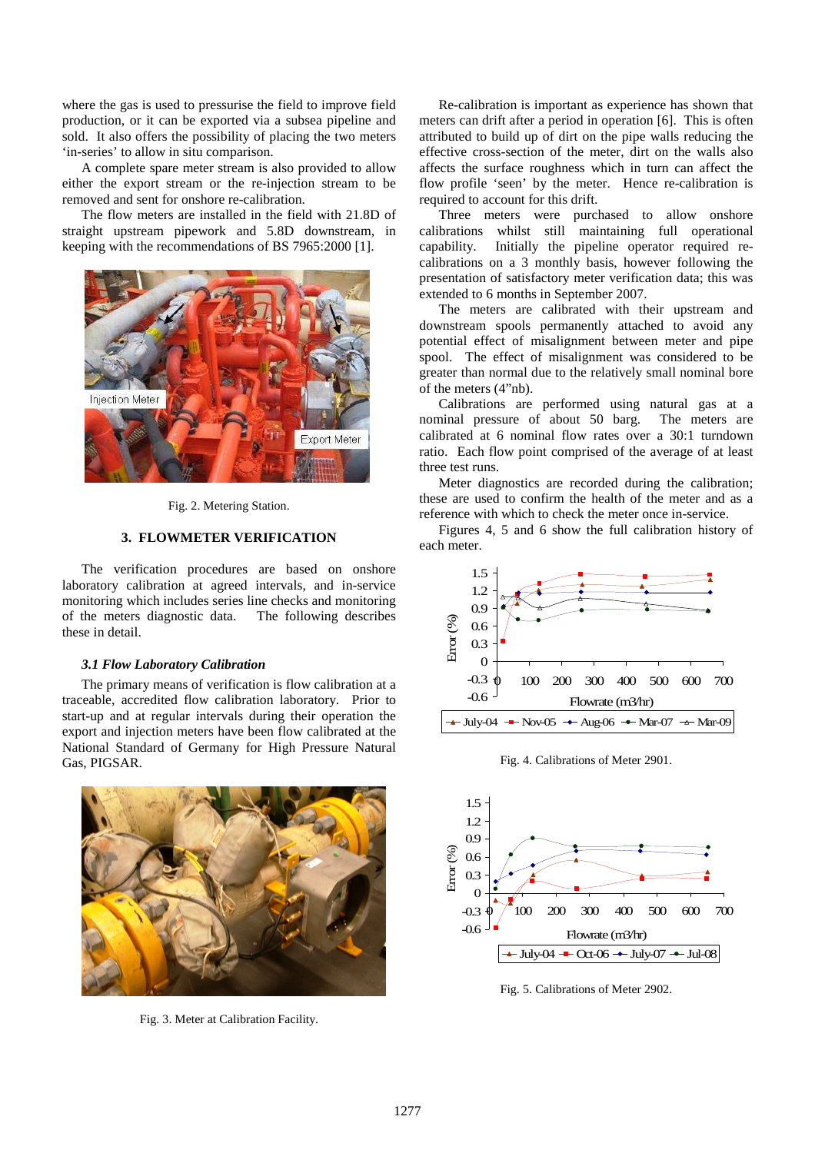where the gas is used to pressurise the field to improve field production, or it can be exported via a subsea pipeline and sold. It also offers the possibility of placing the two meters 'in-series' to allow in situ comparison.

A complete spare meter stream is also provided to allow either the export stream or the re-injection stream to be removed and sent for onshore re-calibration.

The flow meters are installed in the field with 21.8D of straight upstream pipework and 5.8D downstream, in keeping with the recommendations of BS 7965:2000 [1].



Fig. 2. Metering Station.

## **3. FLOWMETER VERIFICATION**

The verification procedures are based on onshore laboratory calibration at agreed intervals, and in-service monitoring which includes series line checks and monitoring of the meters diagnostic data. The following describes these in detail.

#### *3.1 Flow Laboratory Calibration*

The primary means of verification is flow calibration at a traceable, accredited flow calibration laboratory. Prior to start-up and at regular intervals during their operation the export and injection meters have been flow calibrated at the National Standard of Germany for High Pressure Natural Gas, PIGSAR.



Fig. 3. Meter at Calibration Facility.

Re-calibration is important as experience has shown that meters can drift after a period in operation [6]. This is often attributed to build up of dirt on the pipe walls reducing the effective cross-section of the meter, dirt on the walls also affects the surface roughness which in turn can affect the flow profile 'seen' by the meter. Hence re-calibration is required to account for this drift.

Three meters were purchased to allow onshore calibrations whilst still maintaining full operational capability. Initially the pipeline operator required recalibrations on a 3 monthly basis, however following the presentation of satisfactory meter verification data; this was extended to 6 months in September 2007.

The meters are calibrated with their upstream and downstream spools permanently attached to avoid any potential effect of misalignment between meter and pipe spool. The effect of misalignment was considered to be greater than normal due to the relatively small nominal bore of the meters (4"nb).

Calibrations are performed using natural gas at a nominal pressure of about 50 barg. The meters are calibrated at 6 nominal flow rates over a 30:1 turndown ratio. Each flow point comprised of the average of at least three test runs.

Meter diagnostics are recorded during the calibration; these are used to confirm the health of the meter and as a reference with which to check the meter once in-service.

Figures 4, 5 and 6 show the full calibration history of each meter.



Fig. 4. Calibrations of Meter 2901.



Fig. 5. Calibrations of Meter 2902.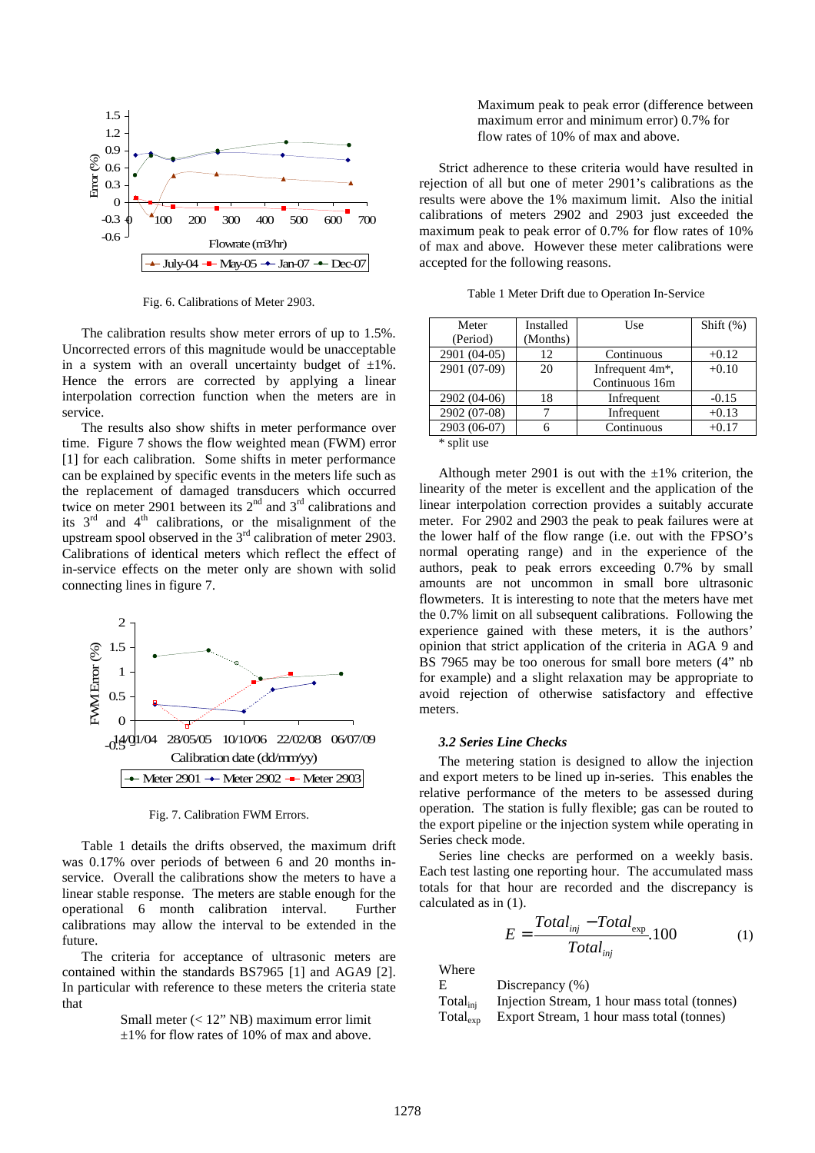

Fig. 6. Calibrations of Meter 2903.

The calibration results show meter errors of up to 1.5%. Uncorrected errors of this magnitude would be unacceptable in a system with an overall uncertainty budget of  $\pm 1\%$ . Hence the errors are corrected by applying a linear interpolation correction function when the meters are in service.

The results also show shifts in meter performance over time. Figure 7 shows the flow weighted mean (FWM) error [1] for each calibration. Some shifts in meter performance can be explained by specific events in the meters life such as the replacement of damaged transducers which occurred twice on meter 2901 between its  $2<sup>nd</sup>$  and  $3<sup>rd</sup>$  calibrations and its  $3<sup>rd</sup>$  and  $4<sup>th</sup>$  calibrations, or the misalignment of the upstream spool observed in the  $3<sup>rd</sup>$  calibration of meter 2903. Calibrations of identical meters which reflect the effect of in-service effects on the meter only are shown with solid connecting lines in figure 7.



Fig. 7. Calibration FWM Errors.

Table 1 details the drifts observed, the maximum drift was 0.17% over periods of between 6 and 20 months inservice. Overall the calibrations show the meters to have a linear stable response. The meters are stable enough for the operational 6 month calibration interval. Further calibrations may allow the interval to be extended in the future.

The criteria for acceptance of ultrasonic meters are contained within the standards BS7965 [1] and AGA9 [2]. In particular with reference to these meters the criteria state that

> Small meter (< 12" NB) maximum error limit ±1% for flow rates of 10% of max and above.

 Maximum peak to peak error (difference between maximum error and minimum error) 0.7% for flow rates of 10% of max and above.

Strict adherence to these criteria would have resulted in rejection of all but one of meter 2901's calibrations as the results were above the 1% maximum limit. Also the initial calibrations of meters 2902 and 2903 just exceeded the maximum peak to peak error of 0.7% for flow rates of 10% of max and above. However these meter calibrations were accepted for the following reasons.

| Meter           | Installed | Use                          | Shift $(\%)$ |
|-----------------|-----------|------------------------------|--------------|
| (Period)        | (Months)  |                              |              |
| 2901 (04-05)    | 12        | Continuous                   | $+0.12$      |
| 2901 (07-09)    | 20        | Infrequent 4m <sup>*</sup> , | $+0.10$      |
|                 |           | Continuous 16m               |              |
| 2902 (04-06)    | 18        | Infrequent                   | $-0.15$      |
| 2902 (07-08)    |           | Infrequent                   | $+0.13$      |
| $2903(06-07)$   |           | Continuous                   | $+0.17$      |
| $*$ and $*$ use |           |                              |              |

split use

Although meter 2901 is out with the  $\pm 1\%$  criterion, the linearity of the meter is excellent and the application of the linear interpolation correction provides a suitably accurate meter. For 2902 and 2903 the peak to peak failures were at the lower half of the flow range (i.e. out with the FPSO's normal operating range) and in the experience of the authors, peak to peak errors exceeding 0.7% by small amounts are not uncommon in small bore ultrasonic flowmeters. It is interesting to note that the meters have met the 0.7% limit on all subsequent calibrations. Following the experience gained with these meters, it is the authors' opinion that strict application of the criteria in AGA 9 and BS 7965 may be too onerous for small bore meters (4" nb for example) and a slight relaxation may be appropriate to avoid rejection of otherwise satisfactory and effective meters.

#### *3.2 Series Line Checks*

The metering station is designed to allow the injection and export meters to be lined up in-series. This enables the relative performance of the meters to be assessed during operation. The station is fully flexible; gas can be routed to the export pipeline or the injection system while operating in Series check mode.

Series line checks are performed on a weekly basis. Each test lasting one reporting hour. The accumulated mass totals for that hour are recorded and the discrepancy is calculated as in (1).

$$
E = \frac{Total_{inj} - Total_{exp}}{Total_{inj}}.100
$$
 (1)

Where

| Е                    | Discrepancy $(\% )$                          |
|----------------------|----------------------------------------------|
| Total <sub>ini</sub> | Injection Stream, 1 hour mass total (tonnes) |
| Total <sub>exp</sub> | Export Stream, 1 hour mass total (tonnes)    |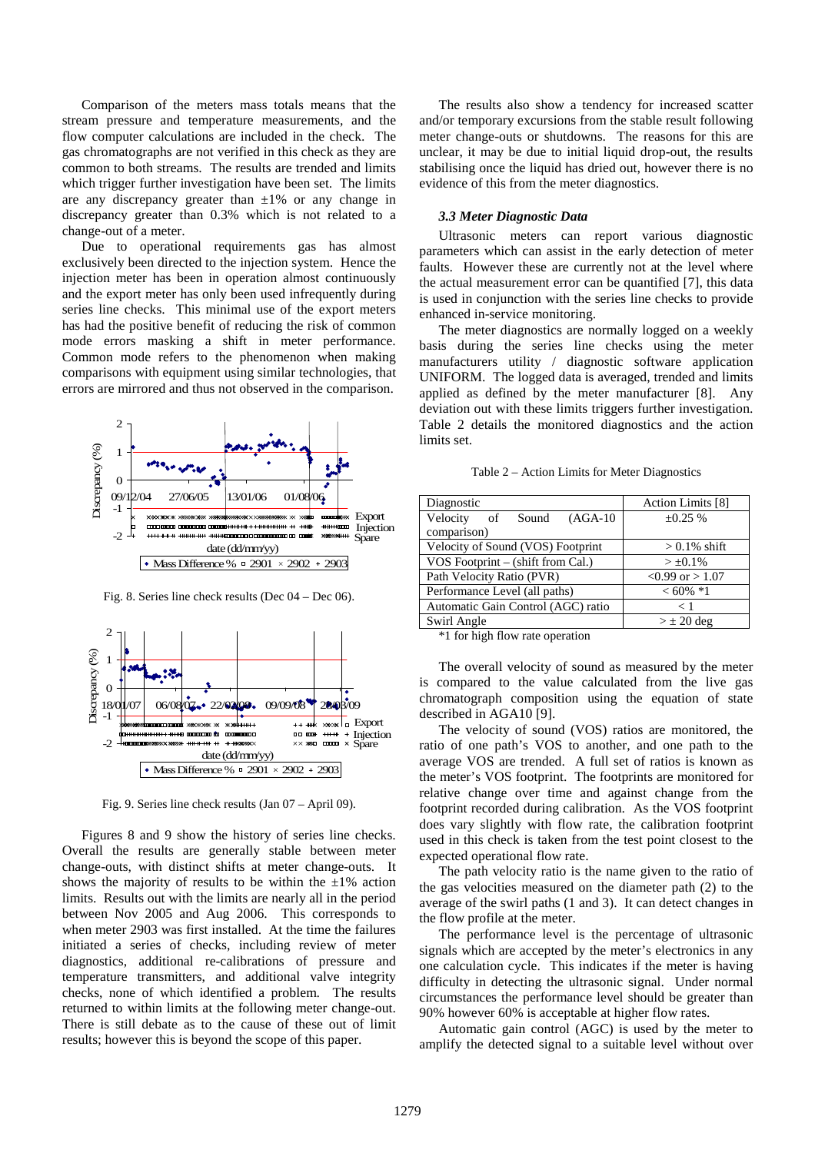Comparison of the meters mass totals means that the stream pressure and temperature measurements, and the flow computer calculations are included in the check. The gas chromatographs are not verified in this check as they are common to both streams. The results are trended and limits which trigger further investigation have been set. The limits are any discrepancy greater than  $\pm 1\%$  or any change in discrepancy greater than 0.3% which is not related to a change-out of a meter.

Due to operational requirements gas has almost exclusively been directed to the injection system. Hence the injection meter has been in operation almost continuously and the export meter has only been used infrequently during series line checks. This minimal use of the export meters has had the positive benefit of reducing the risk of common mode errors masking a shift in meter performance. Common mode refers to the phenomenon when making comparisons with equipment using similar technologies, that errors are mirrored and thus not observed in the comparison.



Fig. 8. Series line check results (Dec 04 – Dec 06).



Fig. 9. Series line check results (Jan 07 – April 09).

Figures 8 and 9 show the history of series line checks. Overall the results are generally stable between meter change-outs, with distinct shifts at meter change-outs. It shows the majority of results to be within the  $\pm 1\%$  action limits. Results out with the limits are nearly all in the period between Nov 2005 and Aug 2006. This corresponds to when meter 2903 was first installed. At the time the failures initiated a series of checks, including review of meter diagnostics, additional re-calibrations of pressure and temperature transmitters, and additional valve integrity checks, none of which identified a problem. The results returned to within limits at the following meter change-out. There is still debate as to the cause of these out of limit results; however this is beyond the scope of this paper.

The results also show a tendency for increased scatter and/or temporary excursions from the stable result following meter change-outs or shutdowns. The reasons for this are unclear, it may be due to initial liquid drop-out, the results stabilising once the liquid has dried out, however there is no evidence of this from the meter diagnostics.

## *3.3 Meter Diagnostic Data*

Ultrasonic meters can report various diagnostic parameters which can assist in the early detection of meter faults. However these are currently not at the level where the actual measurement error can be quantified [7], this data is used in conjunction with the series line checks to provide enhanced in-service monitoring.

The meter diagnostics are normally logged on a weekly basis during the series line checks using the meter manufacturers utility / diagnostic software application UNIFORM. The logged data is averaged, trended and limits applied as defined by the meter manufacturer [8]. Any deviation out with these limits triggers further investigation. Table 2 details the monitored diagnostics and the action limits set.

| Table 2 – Action Limits for Meter Diagnostics |  |  |  |  |
|-----------------------------------------------|--|--|--|--|
|-----------------------------------------------|--|--|--|--|

| Diagnostic                         | Action Limits [8]   |  |  |
|------------------------------------|---------------------|--|--|
| Velocity of Sound (AGA-10)         | $\pm 0.25 \%$       |  |  |
| comparison)                        |                     |  |  |
| Velocity of Sound (VOS) Footprint  | $> 0.1\%$ shift     |  |  |
| VOS Footprint – (shift from Cal.)  | $> \pm 0.1\%$       |  |  |
| Path Velocity Ratio (PVR)          | $<0.99$ or $> 1.07$ |  |  |
| Performance Level (all paths)      | $<60\%*1$           |  |  |
| Automatic Gain Control (AGC) ratio | < 1                 |  |  |
| Swirl Angle                        | $>\pm 20$ deg       |  |  |

\*1 for high flow rate operation

The overall velocity of sound as measured by the meter is compared to the value calculated from the live gas chromatograph composition using the equation of state described in AGA10 [9].

The velocity of sound (VOS) ratios are monitored, the ratio of one path's VOS to another, and one path to the average VOS are trended. A full set of ratios is known as the meter's VOS footprint. The footprints are monitored for relative change over time and against change from the footprint recorded during calibration. As the VOS footprint does vary slightly with flow rate, the calibration footprint used in this check is taken from the test point closest to the expected operational flow rate.

The path velocity ratio is the name given to the ratio of the gas velocities measured on the diameter path (2) to the average of the swirl paths (1 and 3). It can detect changes in the flow profile at the meter.

The performance level is the percentage of ultrasonic signals which are accepted by the meter's electronics in any one calculation cycle. This indicates if the meter is having difficulty in detecting the ultrasonic signal. Under normal circumstances the performance level should be greater than 90% however 60% is acceptable at higher flow rates.

Automatic gain control (AGC) is used by the meter to amplify the detected signal to a suitable level without over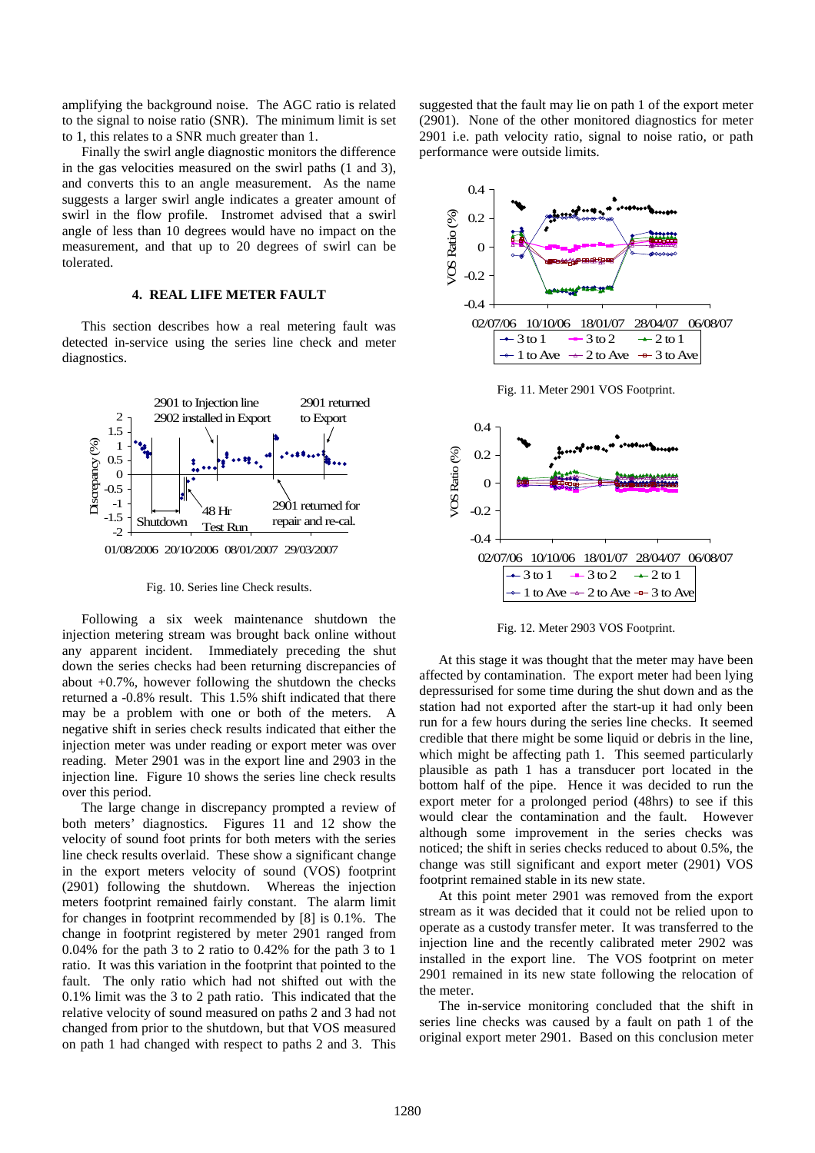amplifying the background noise. The AGC ratio is related to the signal to noise ratio (SNR). The minimum limit is set to 1, this relates to a SNR much greater than 1.

Finally the swirl angle diagnostic monitors the difference in the gas velocities measured on the swirl paths (1 and 3), and converts this to an angle measurement. As the name suggests a larger swirl angle indicates a greater amount of swirl in the flow profile. Instromet advised that a swirl angle of less than 10 degrees would have no impact on the measurement, and that up to 20 degrees of swirl can be tolerated.

## **4. REAL LIFE METER FAULT**

This section describes how a real metering fault was detected in-service using the series line check and meter diagnostics.



Fig. 10. Series line Check results.

Following a six week maintenance shutdown the injection metering stream was brought back online without any apparent incident. Immediately preceding the shut down the series checks had been returning discrepancies of about +0.7%, however following the shutdown the checks returned a -0.8% result. This 1.5% shift indicated that there may be a problem with one or both of the meters. A negative shift in series check results indicated that either the injection meter was under reading or export meter was over reading. Meter 2901 was in the export line and 2903 in the injection line. Figure 10 shows the series line check results over this period.

The large change in discrepancy prompted a review of both meters' diagnostics. Figures 11 and 12 show the velocity of sound foot prints for both meters with the series line check results overlaid. These show a significant change in the export meters velocity of sound (VOS) footprint (2901) following the shutdown. Whereas the injection meters footprint remained fairly constant. The alarm limit for changes in footprint recommended by [8] is 0.1%. The change in footprint registered by meter 2901 ranged from 0.04% for the path 3 to 2 ratio to 0.42% for the path 3 to 1 ratio. It was this variation in the footprint that pointed to the fault. The only ratio which had not shifted out with the 0.1% limit was the 3 to 2 path ratio. This indicated that the relative velocity of sound measured on paths 2 and 3 had not changed from prior to the shutdown, but that VOS measured on path 1 had changed with respect to paths 2 and 3. This suggested that the fault may lie on path 1 of the export meter (2901). None of the other monitored diagnostics for meter 2901 i.e. path velocity ratio, signal to noise ratio, or path performance were outside limits.



Fig. 11. Meter 2901 VOS Footprint.



Fig. 12. Meter 2903 VOS Footprint.

At this stage it was thought that the meter may have been affected by contamination. The export meter had been lying depressurised for some time during the shut down and as the station had not exported after the start-up it had only been run for a few hours during the series line checks. It seemed credible that there might be some liquid or debris in the line, which might be affecting path 1. This seemed particularly plausible as path 1 has a transducer port located in the bottom half of the pipe. Hence it was decided to run the export meter for a prolonged period (48hrs) to see if this would clear the contamination and the fault. However although some improvement in the series checks was noticed; the shift in series checks reduced to about 0.5%, the change was still significant and export meter (2901) VOS footprint remained stable in its new state.

At this point meter 2901 was removed from the export stream as it was decided that it could not be relied upon to operate as a custody transfer meter. It was transferred to the injection line and the recently calibrated meter 2902 was installed in the export line. The VOS footprint on meter 2901 remained in its new state following the relocation of the meter.

The in-service monitoring concluded that the shift in series line checks was caused by a fault on path 1 of the original export meter 2901. Based on this conclusion meter